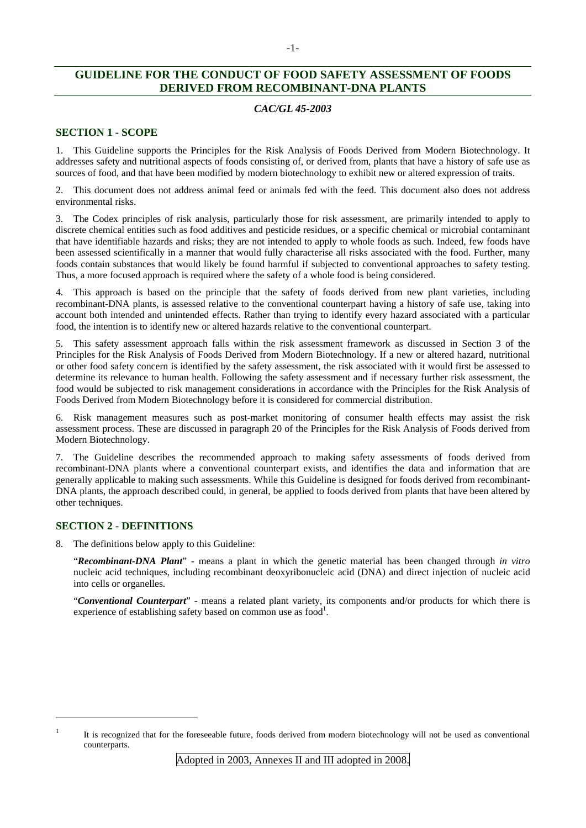# -1-

# **GUIDELINE FOR THE CONDUCT OF FOOD SAFETY ASSESSMENT OF FOODS DERIVED FROM RECOMBINANT-DNA PLANTS**

#### *CAC/GL 45-2003*

### **SECTION 1 - SCOPE**

1. This Guideline supports the Principles for the Risk Analysis of Foods Derived from Modern Biotechnology. It addresses safety and nutritional aspects of foods consisting of, or derived from, plants that have a history of safe use as sources of food, and that have been modified by modern biotechnology to exhibit new or altered expression of traits.

2. This document does not address animal feed or animals fed with the feed. This document also does not address environmental risks.

3. The Codex principles of risk analysis, particularly those for risk assessment, are primarily intended to apply to discrete chemical entities such as food additives and pesticide residues, or a specific chemical or microbial contaminant that have identifiable hazards and risks; they are not intended to apply to whole foods as such. Indeed, few foods have been assessed scientifically in a manner that would fully characterise all risks associated with the food. Further, many foods contain substances that would likely be found harmful if subjected to conventional approaches to safety testing. Thus, a more focused approach is required where the safety of a whole food is being considered.

4. This approach is based on the principle that the safety of foods derived from new plant varieties, including recombinant-DNA plants, is assessed relative to the conventional counterpart having a history of safe use, taking into account both intended and unintended effects. Rather than trying to identify every hazard associated with a particular food, the intention is to identify new or altered hazards relative to the conventional counterpart.

5. This safety assessment approach falls within the risk assessment framework as discussed in Section 3 of the Principles for the Risk Analysis of Foods Derived from Modern Biotechnology. If a new or altered hazard, nutritional or other food safety concern is identified by the safety assessment, the risk associated with it would first be assessed to determine its relevance to human health. Following the safety assessment and if necessary further risk assessment, the food would be subjected to risk management considerations in accordance with the Principles for the Risk Analysis of Foods Derived from Modern Biotechnology before it is considered for commercial distribution.

6. Risk management measures such as post-market monitoring of consumer health effects may assist the risk assessment process. These are discussed in paragraph 20 of the Principles for the Risk Analysis of Foods derived from Modern Biotechnology.

7. The Guideline describes the recommended approach to making safety assessments of foods derived from recombinant-DNA plants where a conventional counterpart exists, and identifies the data and information that are generally applicable to making such assessments. While this Guideline is designed for foods derived from recombinant-DNA plants, the approach described could, in general, be applied to foods derived from plants that have been altered by other techniques.

# **SECTION 2 - DEFINITIONS**

 $\overline{\phantom{a}}$ 

8. The definitions below apply to this Guideline:

"*Recombinant-DNA Plant*" - means a plant in which the genetic material has been changed through *in vitro* nucleic acid techniques, including recombinant deoxyribonucleic acid (DNA) and direct injection of nucleic acid into cells or organelles.

"*Conventional Counterpart*" - means a related plant variety, its components and/or products for which there is experience of establishing safety based on common use as food<sup>1</sup>.

<sup>1</sup> It is recognized that for the foreseeable future, foods derived from modern biotechnology will not be used as conventional counterparts.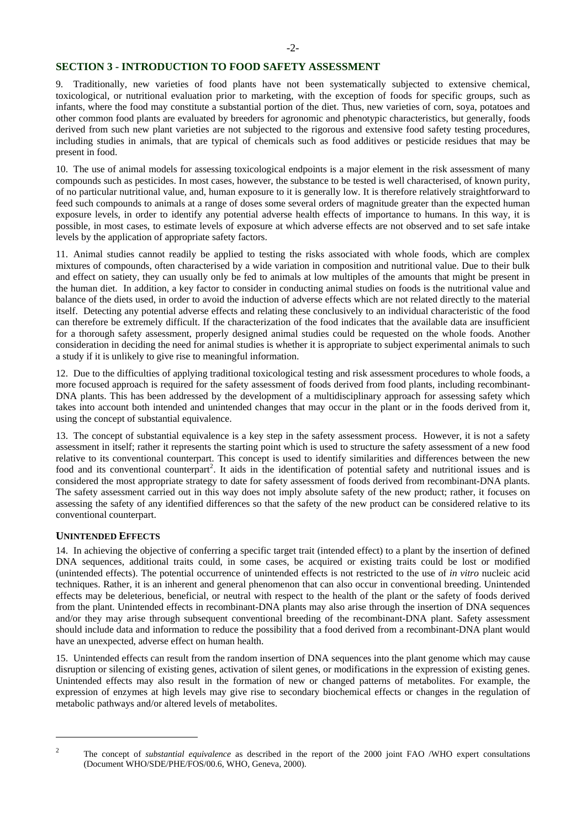## **SECTION 3 - INTRODUCTION TO FOOD SAFETY ASSESSMENT**

9. Traditionally, new varieties of food plants have not been systematically subjected to extensive chemical, toxicological, or nutritional evaluation prior to marketing, with the exception of foods for specific groups, such as infants, where the food may constitute a substantial portion of the diet. Thus, new varieties of corn, soya, potatoes and other common food plants are evaluated by breeders for agronomic and phenotypic characteristics, but generally, foods derived from such new plant varieties are not subjected to the rigorous and extensive food safety testing procedures, including studies in animals, that are typical of chemicals such as food additives or pesticide residues that may be present in food.

10. The use of animal models for assessing toxicological endpoints is a major element in the risk assessment of many compounds such as pesticides. In most cases, however, the substance to be tested is well characterised, of known purity, of no particular nutritional value, and, human exposure to it is generally low. It is therefore relatively straightforward to feed such compounds to animals at a range of doses some several orders of magnitude greater than the expected human exposure levels, in order to identify any potential adverse health effects of importance to humans. In this way, it is possible, in most cases, to estimate levels of exposure at which adverse effects are not observed and to set safe intake levels by the application of appropriate safety factors.

11. Animal studies cannot readily be applied to testing the risks associated with whole foods, which are complex mixtures of compounds, often characterised by a wide variation in composition and nutritional value. Due to their bulk and effect on satiety, they can usually only be fed to animals at low multiples of the amounts that might be present in the human diet. In addition, a key factor to consider in conducting animal studies on foods is the nutritional value and balance of the diets used, in order to avoid the induction of adverse effects which are not related directly to the material itself. Detecting any potential adverse effects and relating these conclusively to an individual characteristic of the food can therefore be extremely difficult. If the characterization of the food indicates that the available data are insufficient for a thorough safety assessment, properly designed animal studies could be requested on the whole foods. Another consideration in deciding the need for animal studies is whether it is appropriate to subject experimental animals to such a study if it is unlikely to give rise to meaningful information.

12. Due to the difficulties of applying traditional toxicological testing and risk assessment procedures to whole foods, a more focused approach is required for the safety assessment of foods derived from food plants, including recombinant-DNA plants. This has been addressed by the development of a multidisciplinary approach for assessing safety which takes into account both intended and unintended changes that may occur in the plant or in the foods derived from it, using the concept of substantial equivalence.

13. The concept of substantial equivalence is a key step in the safety assessment process. However, it is not a safety assessment in itself; rather it represents the starting point which is used to structure the safety assessment of a new food relative to its conventional counterpart. This concept is used to identify similarities and differences between the new food and its conventional counterpart<sup>2</sup>. It aids in the identification of potential safety and nutritional issues and is considered the most appropriate strategy to date for safety assessment of foods derived from recombinant-DNA plants. The safety assessment carried out in this way does not imply absolute safety of the new product; rather, it focuses on assessing the safety of any identified differences so that the safety of the new product can be considered relative to its conventional counterpart.

# **UNINTENDED EFFECTS**

14. In achieving the objective of conferring a specific target trait (intended effect) to a plant by the insertion of defined DNA sequences, additional traits could, in some cases, be acquired or existing traits could be lost or modified (unintended effects). The potential occurrence of unintended effects is not restricted to the use of *in vitro* nucleic acid techniques. Rather, it is an inherent and general phenomenon that can also occur in conventional breeding. Unintended effects may be deleterious, beneficial, or neutral with respect to the health of the plant or the safety of foods derived from the plant. Unintended effects in recombinant-DNA plants may also arise through the insertion of DNA sequences and/or they may arise through subsequent conventional breeding of the recombinant-DNA plant. Safety assessment should include data and information to reduce the possibility that a food derived from a recombinant-DNA plant would have an unexpected, adverse effect on human health.

15. Unintended effects can result from the random insertion of DNA sequences into the plant genome which may cause disruption or silencing of existing genes, activation of silent genes, or modifications in the expression of existing genes. Unintended effects may also result in the formation of new or changed patterns of metabolites. For example, the expression of enzymes at high levels may give rise to secondary biochemical effects or changes in the regulation of metabolic pathways and/or altered levels of metabolites.

l  $\overline{2}$ 

The concept of *substantial equivalence* as described in the report of the 2000 joint FAO /WHO expert consultations (Document WHO/SDE/PHE/FOS/00.6, WHO, Geneva, 2000).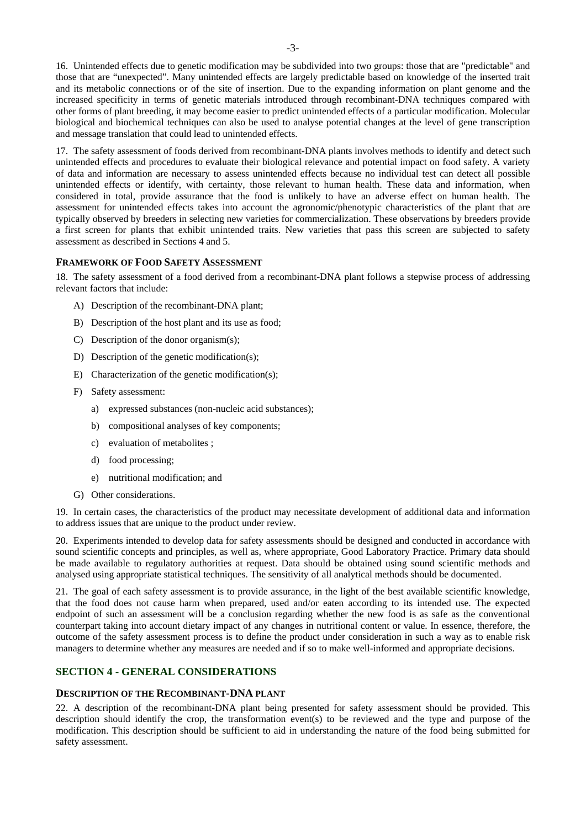16. Unintended effects due to genetic modification may be subdivided into two groups: those that are "predictable" and those that are "unexpected". Many unintended effects are largely predictable based on knowledge of the inserted trait and its metabolic connections or of the site of insertion. Due to the expanding information on plant genome and the increased specificity in terms of genetic materials introduced through recombinant-DNA techniques compared with other forms of plant breeding, it may become easier to predict unintended effects of a particular modification. Molecular biological and biochemical techniques can also be used to analyse potential changes at the level of gene transcription and message translation that could lead to unintended effects.

17. The safety assessment of foods derived from recombinant-DNA plants involves methods to identify and detect such unintended effects and procedures to evaluate their biological relevance and potential impact on food safety. A variety of data and information are necessary to assess unintended effects because no individual test can detect all possible unintended effects or identify, with certainty, those relevant to human health. These data and information, when considered in total, provide assurance that the food is unlikely to have an adverse effect on human health. The assessment for unintended effects takes into account the agronomic/phenotypic characteristics of the plant that are typically observed by breeders in selecting new varieties for commercialization. These observations by breeders provide a first screen for plants that exhibit unintended traits. New varieties that pass this screen are subjected to safety assessment as described in Sections 4 and 5.

# **FRAMEWORK OF FOOD SAFETY ASSESSMENT**

18. The safety assessment of a food derived from a recombinant-DNA plant follows a stepwise process of addressing relevant factors that include:

- A) Description of the recombinant-DNA plant;
- B) Description of the host plant and its use as food;
- C) Description of the donor organism(s);
- D) Description of the genetic modification(s);
- E) Characterization of the genetic modification(s);
- F) Safety assessment:
	- a) expressed substances (non-nucleic acid substances);
	- b) compositional analyses of key components;
	- c) evaluation of metabolites ;
	- d) food processing;
	- e) nutritional modification; and
- G) Other considerations.

19. In certain cases, the characteristics of the product may necessitate development of additional data and information to address issues that are unique to the product under review.

20. Experiments intended to develop data for safety assessments should be designed and conducted in accordance with sound scientific concepts and principles, as well as, where appropriate, Good Laboratory Practice. Primary data should be made available to regulatory authorities at request. Data should be obtained using sound scientific methods and analysed using appropriate statistical techniques. The sensitivity of all analytical methods should be documented.

21. The goal of each safety assessment is to provide assurance, in the light of the best available scientific knowledge, that the food does not cause harm when prepared, used and/or eaten according to its intended use. The expected endpoint of such an assessment will be a conclusion regarding whether the new food is as safe as the conventional counterpart taking into account dietary impact of any changes in nutritional content or value. In essence, therefore, the outcome of the safety assessment process is to define the product under consideration in such a way as to enable risk managers to determine whether any measures are needed and if so to make well-informed and appropriate decisions.

# **SECTION 4 - GENERAL CONSIDERATIONS**

## **DESCRIPTION OF THE RECOMBINANT-DNA PLANT**

22. A description of the recombinant-DNA plant being presented for safety assessment should be provided. This description should identify the crop, the transformation event(s) to be reviewed and the type and purpose of the modification. This description should be sufficient to aid in understanding the nature of the food being submitted for safety assessment.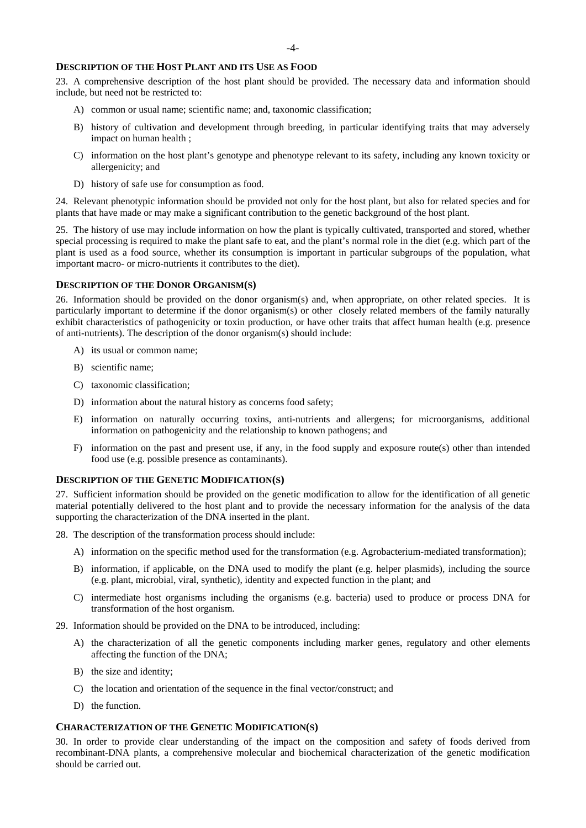# **DESCRIPTION OF THE HOST PLANT AND ITS USE AS FOOD**

23. A comprehensive description of the host plant should be provided. The necessary data and information should include, but need not be restricted to:

- A) common or usual name; scientific name; and, taxonomic classification;
- B) history of cultivation and development through breeding, in particular identifying traits that may adversely impact on human health ;
- C) information on the host plant's genotype and phenotype relevant to its safety, including any known toxicity or allergenicity; and
- D) history of safe use for consumption as food.

24. Relevant phenotypic information should be provided not only for the host plant, but also for related species and for plants that have made or may make a significant contribution to the genetic background of the host plant.

25. The history of use may include information on how the plant is typically cultivated, transported and stored, whether special processing is required to make the plant safe to eat, and the plant's normal role in the diet (e.g. which part of the plant is used as a food source, whether its consumption is important in particular subgroups of the population, what important macro- or micro-nutrients it contributes to the diet).

# **DESCRIPTION OF THE DONOR ORGANISM(S)**

26. Information should be provided on the donor organism(s) and, when appropriate, on other related species. It is particularly important to determine if the donor organism(s) or other closely related members of the family naturally exhibit characteristics of pathogenicity or toxin production, or have other traits that affect human health (e.g. presence of anti-nutrients). The description of the donor organism(s) should include:

- A) its usual or common name;
- B) scientific name;
- C) taxonomic classification;
- D) information about the natural history as concerns food safety;
- E) information on naturally occurring toxins, anti-nutrients and allergens; for microorganisms, additional information on pathogenicity and the relationship to known pathogens; and
- F) information on the past and present use, if any, in the food supply and exposure route(s) other than intended food use (e.g. possible presence as contaminants).

#### **DESCRIPTION OF THE GENETIC MODIFICATION(S)**

27. Sufficient information should be provided on the genetic modification to allow for the identification of all genetic material potentially delivered to the host plant and to provide the necessary information for the analysis of the data supporting the characterization of the DNA inserted in the plant.

28. The description of the transformation process should include:

- A) information on the specific method used for the transformation (e.g. Agrobacterium-mediated transformation);
- B) information, if applicable, on the DNA used to modify the plant (e.g. helper plasmids), including the source (e.g. plant, microbial, viral, synthetic), identity and expected function in the plant; and
- C) intermediate host organisms including the organisms (e.g. bacteria) used to produce or process DNA for transformation of the host organism.
- 29. Information should be provided on the DNA to be introduced, including:
	- A) the characterization of all the genetic components including marker genes, regulatory and other elements affecting the function of the DNA;
	- B) the size and identity;
	- C) the location and orientation of the sequence in the final vector/construct; and
	- D) the function.

## **CHARACTERIZATION OF THE GENETIC MODIFICATION(S)**

30. In order to provide clear understanding of the impact on the composition and safety of foods derived from recombinant-DNA plants, a comprehensive molecular and biochemical characterization of the genetic modification should be carried out.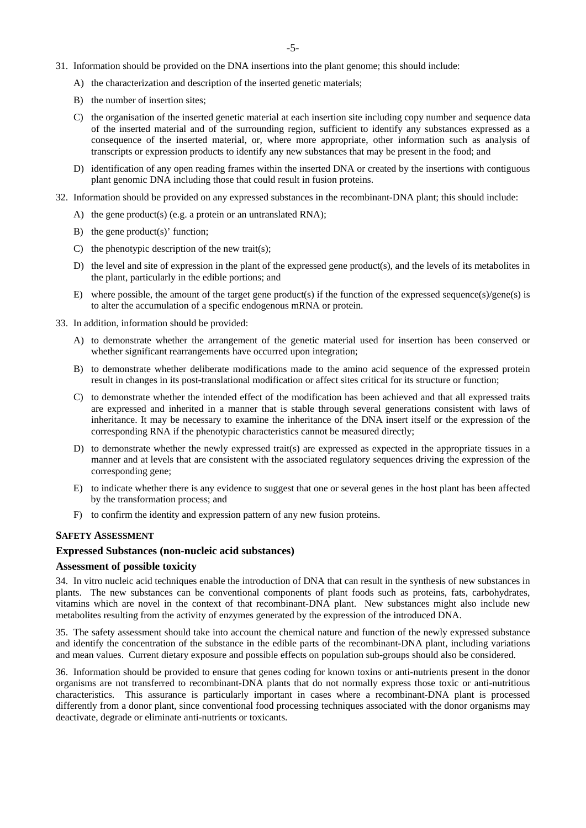- 31. Information should be provided on the DNA insertions into the plant genome; this should include:
	- A) the characterization and description of the inserted genetic materials;
	- B) the number of insertion sites;
	- C) the organisation of the inserted genetic material at each insertion site including copy number and sequence data of the inserted material and of the surrounding region, sufficient to identify any substances expressed as a consequence of the inserted material, or, where more appropriate, other information such as analysis of transcripts or expression products to identify any new substances that may be present in the food; and
	- D) identification of any open reading frames within the inserted DNA or created by the insertions with contiguous plant genomic DNA including those that could result in fusion proteins.
- 32. Information should be provided on any expressed substances in the recombinant-DNA plant; this should include:
	- A) the gene product(s) (e.g. a protein or an untranslated RNA);
	- B) the gene product(s)' function;
	- C) the phenotypic description of the new trait(s);
	- D) the level and site of expression in the plant of the expressed gene product(s), and the levels of its metabolites in the plant, particularly in the edible portions; and
	- E) where possible, the amount of the target gene product(s) if the function of the expressed sequence(s)/gene(s) is to alter the accumulation of a specific endogenous mRNA or protein.
- 33. In addition, information should be provided:
	- A) to demonstrate whether the arrangement of the genetic material used for insertion has been conserved or whether significant rearrangements have occurred upon integration;
	- B) to demonstrate whether deliberate modifications made to the amino acid sequence of the expressed protein result in changes in its post-translational modification or affect sites critical for its structure or function;
	- C) to demonstrate whether the intended effect of the modification has been achieved and that all expressed traits are expressed and inherited in a manner that is stable through several generations consistent with laws of inheritance. It may be necessary to examine the inheritance of the DNA insert itself or the expression of the corresponding RNA if the phenotypic characteristics cannot be measured directly;
	- D) to demonstrate whether the newly expressed trait(s) are expressed as expected in the appropriate tissues in a manner and at levels that are consistent with the associated regulatory sequences driving the expression of the corresponding gene;
	- E) to indicate whether there is any evidence to suggest that one or several genes in the host plant has been affected by the transformation process; and
	- F) to confirm the identity and expression pattern of any new fusion proteins.

# **SAFETY ASSESSMENT**

## **Expressed Substances (non-nucleic acid substances)**

## **Assessment of possible toxicity**

34. In vitro nucleic acid techniques enable the introduction of DNA that can result in the synthesis of new substances in plants. The new substances can be conventional components of plant foods such as proteins, fats, carbohydrates, vitamins which are novel in the context of that recombinant-DNA plant. New substances might also include new metabolites resulting from the activity of enzymes generated by the expression of the introduced DNA.

35. The safety assessment should take into account the chemical nature and function of the newly expressed substance and identify the concentration of the substance in the edible parts of the recombinant-DNA plant, including variations and mean values. Current dietary exposure and possible effects on population sub-groups should also be considered.

36. Information should be provided to ensure that genes coding for known toxins or anti-nutrients present in the donor organisms are not transferred to recombinant-DNA plants that do not normally express those toxic or anti-nutritious characteristics. This assurance is particularly important in cases where a recombinant-DNA plant is processed differently from a donor plant, since conventional food processing techniques associated with the donor organisms may deactivate, degrade or eliminate anti-nutrients or toxicants.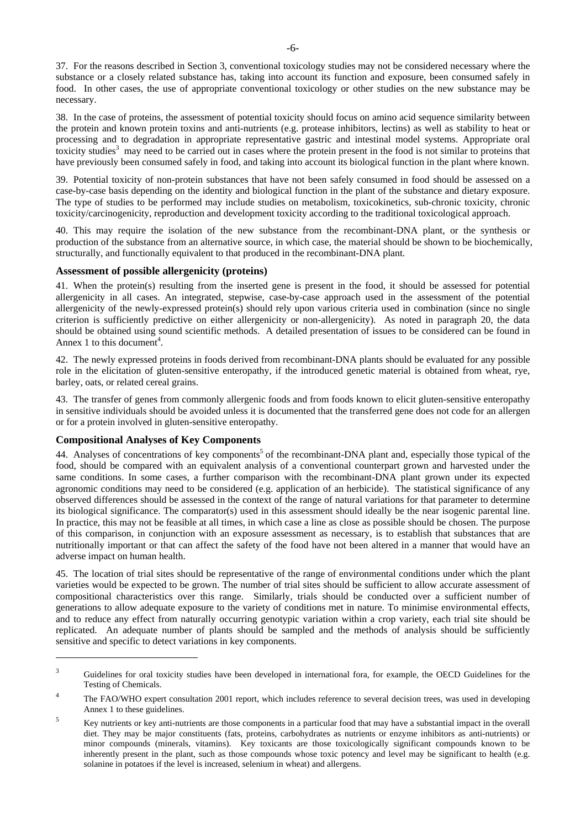37. For the reasons described in Section 3, conventional toxicology studies may not be considered necessary where the substance or a closely related substance has, taking into account its function and exposure, been consumed safely in food. In other cases, the use of appropriate conventional toxicology or other studies on the new substance may be necessary.

38. In the case of proteins, the assessment of potential toxicity should focus on amino acid sequence similarity between the protein and known protein toxins and anti-nutrients (e.g. protease inhibitors, lectins) as well as stability to heat or processing and to degradation in appropriate representative gastric and intestinal model systems. Appropriate oral toxicity studies<sup>3</sup> may need to be carried out in cases where the protein present in the food is not similar to proteins that have previously been consumed safely in food, and taking into account its biological function in the plant where known.

39. Potential toxicity of non-protein substances that have not been safely consumed in food should be assessed on a case-by-case basis depending on the identity and biological function in the plant of the substance and dietary exposure. The type of studies to be performed may include studies on metabolism, toxicokinetics, sub-chronic toxicity, chronic toxicity/carcinogenicity, reproduction and development toxicity according to the traditional toxicological approach.

40. This may require the isolation of the new substance from the recombinant-DNA plant, or the synthesis or production of the substance from an alternative source, in which case, the material should be shown to be biochemically, structurally, and functionally equivalent to that produced in the recombinant-DNA plant.

# **Assessment of possible allergenicity (proteins)**

41. When the protein(s) resulting from the inserted gene is present in the food, it should be assessed for potential allergenicity in all cases. An integrated, stepwise, case-by-case approach used in the assessment of the potential allergenicity of the newly-expressed protein(s) should rely upon various criteria used in combination (since no single criterion is sufficiently predictive on either allergenicity or non-allergenicity). As noted in paragraph 20, the data should be obtained using sound scientific methods. A detailed presentation of issues to be considered can be found in Annex 1 to this document<sup>4</sup>.

42. The newly expressed proteins in foods derived from recombinant-DNA plants should be evaluated for any possible role in the elicitation of gluten-sensitive enteropathy, if the introduced genetic material is obtained from wheat, rye, barley, oats, or related cereal grains.

43. The transfer of genes from commonly allergenic foods and from foods known to elicit gluten-sensitive enteropathy in sensitive individuals should be avoided unless it is documented that the transferred gene does not code for an allergen or for a protein involved in gluten-sensitive enteropathy.

# **Compositional Analyses of Key Components**

 $\overline{\phantom{a}}$ 

44. Analyses of concentrations of key components<sup>5</sup> of the recombinant-DNA plant and, especially those typical of the food, should be compared with an equivalent analysis of a conventional counterpart grown and harvested under the same conditions. In some cases, a further comparison with the recombinant-DNA plant grown under its expected agronomic conditions may need to be considered (e.g. application of an herbicide). The statistical significance of any observed differences should be assessed in the context of the range of natural variations for that parameter to determine its biological significance. The comparator(s) used in this assessment should ideally be the near isogenic parental line. In practice, this may not be feasible at all times, in which case a line as close as possible should be chosen. The purpose of this comparison, in conjunction with an exposure assessment as necessary, is to establish that substances that are nutritionally important or that can affect the safety of the food have not been altered in a manner that would have an adverse impact on human health.

45. The location of trial sites should be representative of the range of environmental conditions under which the plant varieties would be expected to be grown. The number of trial sites should be sufficient to allow accurate assessment of compositional characteristics over this range. Similarly, trials should be conducted over a sufficient number of generations to allow adequate exposure to the variety of conditions met in nature. To minimise environmental effects, and to reduce any effect from naturally occurring genotypic variation within a crop variety, each trial site should be replicated. An adequate number of plants should be sampled and the methods of analysis should be sufficiently sensitive and specific to detect variations in key components.

<sup>3</sup> Guidelines for oral toxicity studies have been developed in international fora, for example, the OECD Guidelines for the Testing of Chemicals.

<sup>4</sup> The FAO/WHO expert consultation 2001 report, which includes reference to several decision trees, was used in developing Annex 1 to these guidelines.

<sup>5</sup> Key nutrients or key anti-nutrients are those components in a particular food that may have a substantial impact in the overall diet. They may be major constituents (fats, proteins, carbohydrates as nutrients or enzyme inhibitors as anti-nutrients) or minor compounds (minerals, vitamins). Key toxicants are those toxicologically significant compounds known to be inherently present in the plant, such as those compounds whose toxic potency and level may be significant to health (e.g. solanine in potatoes if the level is increased, selenium in wheat) and allergens.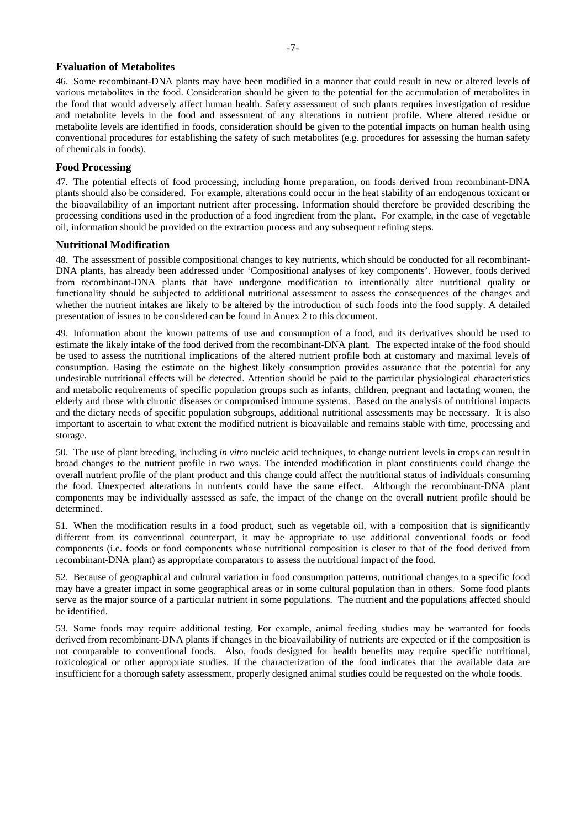## **Evaluation of Metabolites**

46. Some recombinant-DNA plants may have been modified in a manner that could result in new or altered levels of various metabolites in the food. Consideration should be given to the potential for the accumulation of metabolites in the food that would adversely affect human health. Safety assessment of such plants requires investigation of residue and metabolite levels in the food and assessment of any alterations in nutrient profile. Where altered residue or metabolite levels are identified in foods, consideration should be given to the potential impacts on human health using conventional procedures for establishing the safety of such metabolites (e.g. procedures for assessing the human safety of chemicals in foods).

## **Food Processing**

47. The potential effects of food processing, including home preparation, on foods derived from recombinant-DNA plants should also be considered. For example, alterations could occur in the heat stability of an endogenous toxicant or the bioavailability of an important nutrient after processing. Information should therefore be provided describing the processing conditions used in the production of a food ingredient from the plant. For example, in the case of vegetable oil, information should be provided on the extraction process and any subsequent refining steps.

### **Nutritional Modification**

48. The assessment of possible compositional changes to key nutrients, which should be conducted for all recombinant-DNA plants, has already been addressed under 'Compositional analyses of key components'. However, foods derived from recombinant-DNA plants that have undergone modification to intentionally alter nutritional quality or functionality should be subjected to additional nutritional assessment to assess the consequences of the changes and whether the nutrient intakes are likely to be altered by the introduction of such foods into the food supply. A detailed presentation of issues to be considered can be found in Annex 2 to this document.

49. Information about the known patterns of use and consumption of a food, and its derivatives should be used to estimate the likely intake of the food derived from the recombinant-DNA plant. The expected intake of the food should be used to assess the nutritional implications of the altered nutrient profile both at customary and maximal levels of consumption. Basing the estimate on the highest likely consumption provides assurance that the potential for any undesirable nutritional effects will be detected. Attention should be paid to the particular physiological characteristics and metabolic requirements of specific population groups such as infants, children, pregnant and lactating women, the elderly and those with chronic diseases or compromised immune systems. Based on the analysis of nutritional impacts and the dietary needs of specific population subgroups, additional nutritional assessments may be necessary. It is also important to ascertain to what extent the modified nutrient is bioavailable and remains stable with time, processing and storage.

50. The use of plant breeding, including *in vitro* nucleic acid techniques, to change nutrient levels in crops can result in broad changes to the nutrient profile in two ways. The intended modification in plant constituents could change the overall nutrient profile of the plant product and this change could affect the nutritional status of individuals consuming the food. Unexpected alterations in nutrients could have the same effect. Although the recombinant-DNA plant components may be individually assessed as safe, the impact of the change on the overall nutrient profile should be determined.

51. When the modification results in a food product, such as vegetable oil, with a composition that is significantly different from its conventional counterpart, it may be appropriate to use additional conventional foods or food components (i.e. foods or food components whose nutritional composition is closer to that of the food derived from recombinant-DNA plant) as appropriate comparators to assess the nutritional impact of the food.

52. Because of geographical and cultural variation in food consumption patterns, nutritional changes to a specific food may have a greater impact in some geographical areas or in some cultural population than in others. Some food plants serve as the major source of a particular nutrient in some populations. The nutrient and the populations affected should be identified.

53. Some foods may require additional testing. For example, animal feeding studies may be warranted for foods derived from recombinant-DNA plants if changes in the bioavailability of nutrients are expected or if the composition is not comparable to conventional foods. Also, foods designed for health benefits may require specific nutritional, toxicological or other appropriate studies. If the characterization of the food indicates that the available data are insufficient for a thorough safety assessment, properly designed animal studies could be requested on the whole foods.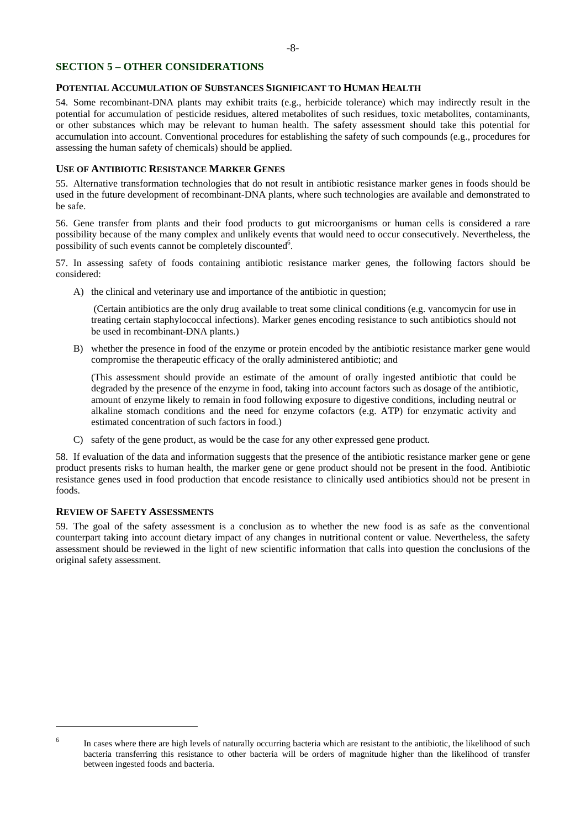# **SECTION 5 – OTHER CONSIDERATIONS**

## **POTENTIAL ACCUMULATION OF SUBSTANCES SIGNIFICANT TO HUMAN HEALTH**

54. Some recombinant-DNA plants may exhibit traits (e.g., herbicide tolerance) which may indirectly result in the potential for accumulation of pesticide residues, altered metabolites of such residues, toxic metabolites, contaminants, or other substances which may be relevant to human health. The safety assessment should take this potential for accumulation into account. Conventional procedures for establishing the safety of such compounds (e.g., procedures for assessing the human safety of chemicals) should be applied.

# **USE OF ANTIBIOTIC RESISTANCE MARKER GENES**

55. Alternative transformation technologies that do not result in antibiotic resistance marker genes in foods should be used in the future development of recombinant-DNA plants, where such technologies are available and demonstrated to be safe.

56. Gene transfer from plants and their food products to gut microorganisms or human cells is considered a rare possibility because of the many complex and unlikely events that would need to occur consecutively. Nevertheless, the possibility of such events cannot be completely discounted $6$ .

57. In assessing safety of foods containing antibiotic resistance marker genes, the following factors should be considered:

A) the clinical and veterinary use and importance of the antibiotic in question;

 (Certain antibiotics are the only drug available to treat some clinical conditions (e.g. vancomycin for use in treating certain staphylococcal infections). Marker genes encoding resistance to such antibiotics should not be used in recombinant-DNA plants.)

B) whether the presence in food of the enzyme or protein encoded by the antibiotic resistance marker gene would compromise the therapeutic efficacy of the orally administered antibiotic; and

(This assessment should provide an estimate of the amount of orally ingested antibiotic that could be degraded by the presence of the enzyme in food, taking into account factors such as dosage of the antibiotic, amount of enzyme likely to remain in food following exposure to digestive conditions, including neutral or alkaline stomach conditions and the need for enzyme cofactors (e.g. ATP) for enzymatic activity and estimated concentration of such factors in food.)

C) safety of the gene product, as would be the case for any other expressed gene product.

58. If evaluation of the data and information suggests that the presence of the antibiotic resistance marker gene or gene product presents risks to human health, the marker gene or gene product should not be present in the food. Antibiotic resistance genes used in food production that encode resistance to clinically used antibiotics should not be present in foods.

# **REVIEW OF SAFETY ASSESSMENTS**

l

59. The goal of the safety assessment is a conclusion as to whether the new food is as safe as the conventional counterpart taking into account dietary impact of any changes in nutritional content or value. Nevertheless, the safety assessment should be reviewed in the light of new scientific information that calls into question the conclusions of the original safety assessment.

<sup>6</sup> In cases where there are high levels of naturally occurring bacteria which are resistant to the antibiotic, the likelihood of such bacteria transferring this resistance to other bacteria will be orders of magnitude higher than the likelihood of transfer between ingested foods and bacteria.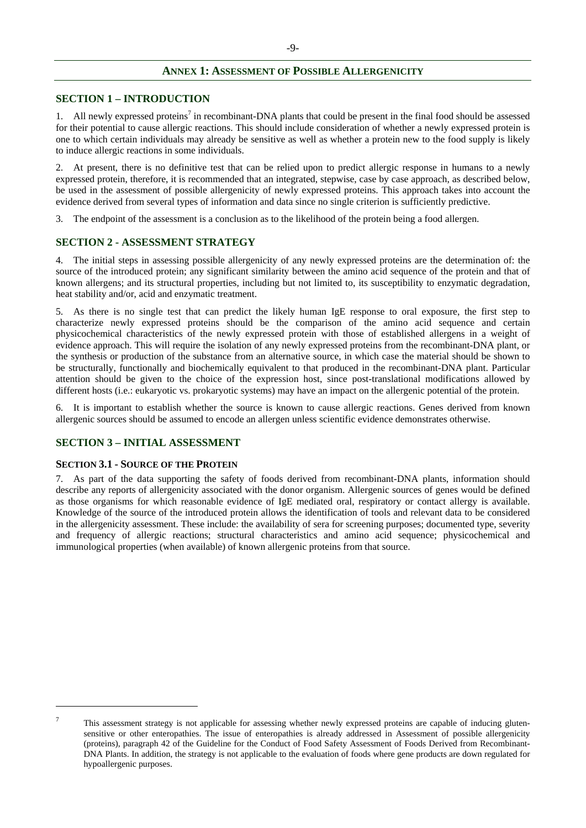# **ANNEX 1: ASSESSMENT OF POSSIBLE ALLERGENICITY**

#### **SECTION 1 – INTRODUCTION**

1. All newly expressed proteins<sup>7</sup> in recombinant-DNA plants that could be present in the final food should be assessed for their potential to cause allergic reactions. This should include consideration of whether a newly expressed protein is one to which certain individuals may already be sensitive as well as whether a protein new to the food supply is likely to induce allergic reactions in some individuals.

2. At present, there is no definitive test that can be relied upon to predict allergic response in humans to a newly expressed protein, therefore, it is recommended that an integrated, stepwise, case by case approach, as described below, be used in the assessment of possible allergenicity of newly expressed proteins. This approach takes into account the evidence derived from several types of information and data since no single criterion is sufficiently predictive.

3. The endpoint of the assessment is a conclusion as to the likelihood of the protein being a food allergen.

### **SECTION 2 - ASSESSMENT STRATEGY**

4. The initial steps in assessing possible allergenicity of any newly expressed proteins are the determination of: the source of the introduced protein; any significant similarity between the amino acid sequence of the protein and that of known allergens; and its structural properties, including but not limited to, its susceptibility to enzymatic degradation, heat stability and/or, acid and enzymatic treatment.

5. As there is no single test that can predict the likely human IgE response to oral exposure, the first step to characterize newly expressed proteins should be the comparison of the amino acid sequence and certain physicochemical characteristics of the newly expressed protein with those of established allergens in a weight of evidence approach. This will require the isolation of any newly expressed proteins from the recombinant-DNA plant, or the synthesis or production of the substance from an alternative source, in which case the material should be shown to be structurally, functionally and biochemically equivalent to that produced in the recombinant-DNA plant. Particular attention should be given to the choice of the expression host, since post-translational modifications allowed by different hosts (i.e.: eukaryotic vs. prokaryotic systems) may have an impact on the allergenic potential of the protein.

6. It is important to establish whether the source is known to cause allergic reactions. Genes derived from known allergenic sources should be assumed to encode an allergen unless scientific evidence demonstrates otherwise.

# **SECTION 3 – INITIAL ASSESSMENT**

### **SECTION 3.1 - SOURCE OF THE PROTEIN**

7. As part of the data supporting the safety of foods derived from recombinant-DNA plants, information should describe any reports of allergenicity associated with the donor organism. Allergenic sources of genes would be defined as those organisms for which reasonable evidence of IgE mediated oral, respiratory or contact allergy is available. Knowledge of the source of the introduced protein allows the identification of tools and relevant data to be considered in the allergenicity assessment. These include: the availability of sera for screening purposes; documented type, severity and frequency of allergic reactions; structural characteristics and amino acid sequence; physicochemical and immunological properties (when available) of known allergenic proteins from that source.

l 7

This assessment strategy is not applicable for assessing whether newly expressed proteins are capable of inducing glutensensitive or other enteropathies. The issue of enteropathies is already addressed in Assessment of possible allergenicity (proteins), paragraph 42 of the Guideline for the Conduct of Food Safety Assessment of Foods Derived from Recombinant-DNA Plants. In addition, the strategy is not applicable to the evaluation of foods where gene products are down regulated for hypoallergenic purposes.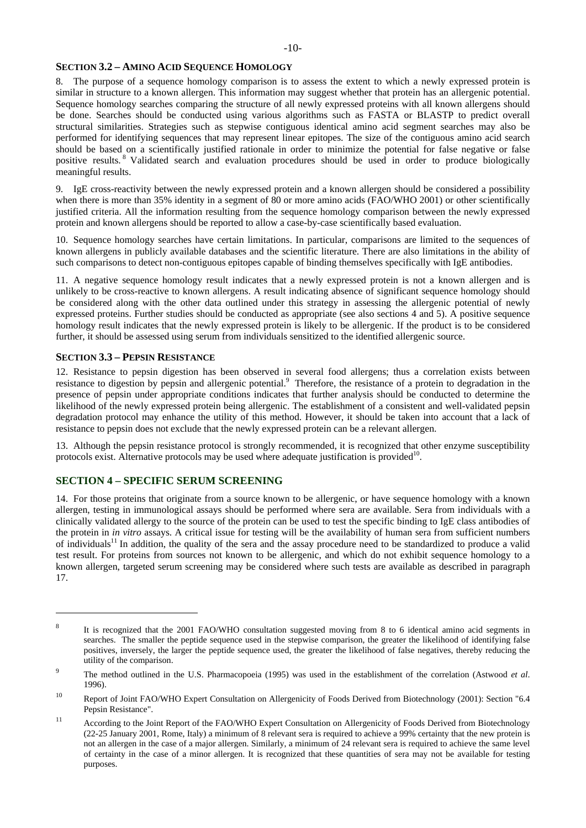#### **SECTION 3.2 – AMINO ACID SEQUENCE HOMOLOGY**

8. The purpose of a sequence homology comparison is to assess the extent to which a newly expressed protein is similar in structure to a known allergen. This information may suggest whether that protein has an allergenic potential. Sequence homology searches comparing the structure of all newly expressed proteins with all known allergens should be done. Searches should be conducted using various algorithms such as FASTA or BLASTP to predict overall structural similarities. Strategies such as stepwise contiguous identical amino acid segment searches may also be performed for identifying sequences that may represent linear epitopes. The size of the contiguous amino acid search should be based on a scientifically justified rationale in order to minimize the potential for false negative or false positive results. 8 Validated search and evaluation procedures should be used in order to produce biologically meaningful results.

9. IgE cross-reactivity between the newly expressed protein and a known allergen should be considered a possibility when there is more than 35% identity in a segment of 80 or more amino acids (FAO/WHO 2001) or other scientifically justified criteria. All the information resulting from the sequence homology comparison between the newly expressed protein and known allergens should be reported to allow a case-by-case scientifically based evaluation.

10. Sequence homology searches have certain limitations. In particular, comparisons are limited to the sequences of known allergens in publicly available databases and the scientific literature. There are also limitations in the ability of such comparisons to detect non-contiguous epitopes capable of binding themselves specifically with IgE antibodies.

11. A negative sequence homology result indicates that a newly expressed protein is not a known allergen and is unlikely to be cross-reactive to known allergens. A result indicating absence of significant sequence homology should be considered along with the other data outlined under this strategy in assessing the allergenic potential of newly expressed proteins. Further studies should be conducted as appropriate (see also sections 4 and 5). A positive sequence homology result indicates that the newly expressed protein is likely to be allergenic. If the product is to be considered further, it should be assessed using serum from individuals sensitized to the identified allergenic source.

#### **SECTION 3.3 – PEPSIN RESISTANCE**

l

12. Resistance to pepsin digestion has been observed in several food allergens; thus a correlation exists between resistance to digestion by pepsin and allergenic potential.<sup>9</sup> Therefore, the resistance of a protein to degradation in the presence of pepsin under appropriate conditions indicates that further analysis should be conducted to determine the likelihood of the newly expressed protein being allergenic. The establishment of a consistent and well-validated pepsin degradation protocol may enhance the utility of this method. However, it should be taken into account that a lack of resistance to pepsin does not exclude that the newly expressed protein can be a relevant allergen.

13. Although the pepsin resistance protocol is strongly recommended, it is recognized that other enzyme susceptibility protocols exist. Alternative protocols may be used where adequate justification is provided<sup>10</sup>.

# **SECTION 4 – SPECIFIC SERUM SCREENING**

14. For those proteins that originate from a source known to be allergenic, or have sequence homology with a known allergen, testing in immunological assays should be performed where sera are available. Sera from individuals with a clinically validated allergy to the source of the protein can be used to test the specific binding to IgE class antibodies of the protein in *in vitro* assays. A critical issue for testing will be the availability of human sera from sufficient numbers of individuals<sup>11</sup> In addition, the quality of the sera and the assay procedure need to be standardized to produce a valid test result. For proteins from sources not known to be allergenic, and which do not exhibit sequence homology to a known allergen, targeted serum screening may be considered where such tests are available as described in paragraph 17.

<sup>8</sup> It is recognized that the 2001 FAO/WHO consultation suggested moving from 8 to 6 identical amino acid segments in searches. The smaller the peptide sequence used in the stepwise comparison, the greater the likelihood of identifying false positives, inversely, the larger the peptide sequence used, the greater the likelihood of false negatives, thereby reducing the utility of the comparison.

<sup>9</sup> The method outlined in the U.S. Pharmacopoeia (1995) was used in the establishment of the correlation (Astwood *et al*. 1996).

<sup>&</sup>lt;sup>10</sup> Report of Joint FAO/WHO Expert Consultation on Allergenicity of Foods Derived from Biotechnology (2001): Section "6.4 Pepsin Resistance".

<sup>&</sup>lt;sup>11</sup> According to the Joint Report of the FAO/WHO Expert Consultation on Allergenicity of Foods Derived from Biotechnology (22-25 January 2001, Rome, Italy) a minimum of 8 relevant sera is required to achieve a 99% certainty that the new protein is not an allergen in the case of a major allergen. Similarly, a minimum of 24 relevant sera is required to achieve the same level of certainty in the case of a minor allergen. It is recognized that these quantities of sera may not be available for testing purposes.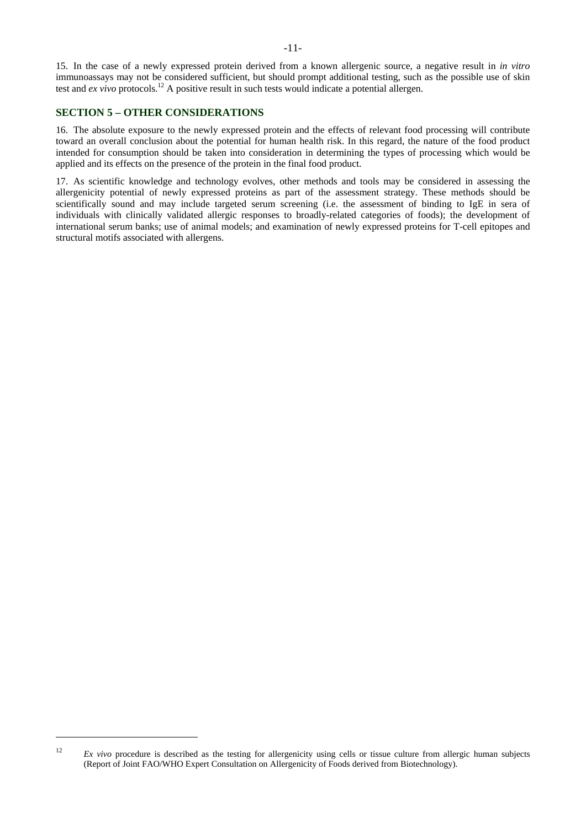15. In the case of a newly expressed protein derived from a known allergenic source, a negative result in *in vitro* immunoassays may not be considered sufficient, but should prompt additional testing, such as the possible use of skin test and *ex vivo* protocols.<sup>12</sup> A positive result in such tests would indicate a potential allergen.

# **SECTION 5 – OTHER CONSIDERATIONS**

l

16. The absolute exposure to the newly expressed protein and the effects of relevant food processing will contribute toward an overall conclusion about the potential for human health risk. In this regard, the nature of the food product intended for consumption should be taken into consideration in determining the types of processing which would be applied and its effects on the presence of the protein in the final food product.

17. As scientific knowledge and technology evolves, other methods and tools may be considered in assessing the allergenicity potential of newly expressed proteins as part of the assessment strategy. These methods should be scientifically sound and may include targeted serum screening (i.e. the assessment of binding to IgE in sera of individuals with clinically validated allergic responses to broadly-related categories of foods); the development of international serum banks; use of animal models; and examination of newly expressed proteins for T-cell epitopes and structural motifs associated with allergens.

<sup>&</sup>lt;sup>12</sup> *Ex vivo* procedure is described as the testing for allergenicity using cells or tissue culture from allergic human subjects (Report of Joint FAO/WHO Expert Consultation on Allergenicity of Foods derived from Biotechnology).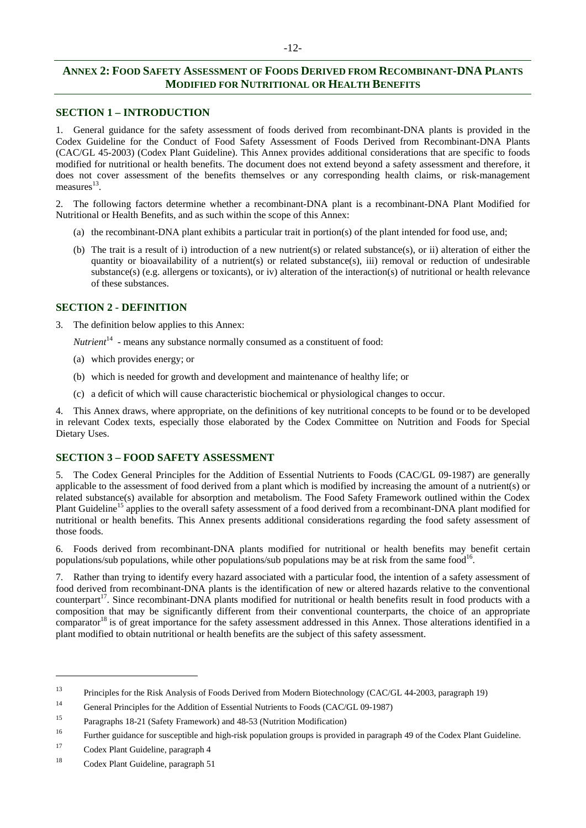# **ANNEX 2: FOOD SAFETY ASSESSMENT OF FOODS DERIVED FROM RECOMBINANT-DNA PLANTS MODIFIED FOR NUTRITIONAL OR HEALTH BENEFITS**

# **SECTION 1 – INTRODUCTION**

1. General guidance for the safety assessment of foods derived from recombinant-DNA plants is provided in the Codex Guideline for the Conduct of Food Safety Assessment of Foods Derived from Recombinant-DNA Plants (CAC/GL 45-2003) (Codex Plant Guideline). This Annex provides additional considerations that are specific to foods modified for nutritional or health benefits. The document does not extend beyond a safety assessment and therefore, it does not cover assessment of the benefits themselves or any corresponding health claims, or risk-management measures<sup>13</sup>.

2. The following factors determine whether a recombinant-DNA plant is a recombinant-DNA Plant Modified for Nutritional or Health Benefits, and as such within the scope of this Annex:

- (a) the recombinant-DNA plant exhibits a particular trait in portion(s) of the plant intended for food use, and;
- (b) The trait is a result of i) introduction of a new nutrient(s) or related substance(s), or ii) alteration of either the quantity or bioavailability of a nutrient(s) or related substance(s), iii) removal or reduction of undesirable substance(s) (e.g. allergens or toxicants), or iv) alteration of the interaction(s) of nutritional or health relevance of these substances.

# **SECTION 2 - DEFINITION**

- 3. The definition below applies to this Annex:
	- *Nutrient*<sup>14</sup> means any substance normally consumed as a constituent of food:
	- (a) which provides energy; or
	- (b) which is needed for growth and development and maintenance of healthy life; or
	- (c) a deficit of which will cause characteristic biochemical or physiological changes to occur.

4. This Annex draws, where appropriate, on the definitions of key nutritional concepts to be found or to be developed in relevant Codex texts, especially those elaborated by the Codex Committee on Nutrition and Foods for Special Dietary Uses.

# **SECTION 3 – FOOD SAFETY ASSESSMENT**

5. The Codex General Principles for the Addition of Essential Nutrients to Foods (CAC/GL 09-1987) are generally applicable to the assessment of food derived from a plant which is modified by increasing the amount of a nutrient(s) or related substance(s) available for absorption and metabolism. The Food Safety Framework outlined within the Codex Plant Guideline<sup>15</sup> applies to the overall safety assessment of a food derived from a recombinant-DNA plant modified for nutritional or health benefits. This Annex presents additional considerations regarding the food safety assessment of those foods.

6. Foods derived from recombinant-DNA plants modified for nutritional or health benefits may benefit certain populations/sub populations, while other populations/sub populations may be at risk from the same food<sup>16</sup>.

7. Rather than trying to identify every hazard associated with a particular food, the intention of a safety assessment of food derived from recombinant-DNA plants is the identification of new or altered hazards relative to the conventional counterpart<sup>17</sup>. Since recombinant-DNA plants modified for nutritional or health benefits result in food products with a composition that may be significantly different from their conventional counterparts, the choice of an appropriate comparator<sup>18</sup> is of great importance for the safety assessment addressed in this Annex. Those alterations identified in a plant modified to obtain nutritional or health benefits are the subject of this safety assessment.

l

<sup>&</sup>lt;sup>13</sup> Principles for the Risk Analysis of Foods Derived from Modern Biotechnology (CAC/GL 44-2003, paragraph 19)

<sup>14</sup> General Principles for the Addition of Essential Nutrients to Foods (CAC/GL 09-1987)

<sup>15</sup> Paragraphs 18-21 (Safety Framework) and 48-53 (Nutrition Modification)

<sup>&</sup>lt;sup>16</sup> Further guidance for susceptible and high-risk population groups is provided in paragraph 49 of the Codex Plant Guideline.

<sup>17</sup> Codex Plant Guideline, paragraph 4

<sup>18</sup> Codex Plant Guideline, paragraph 51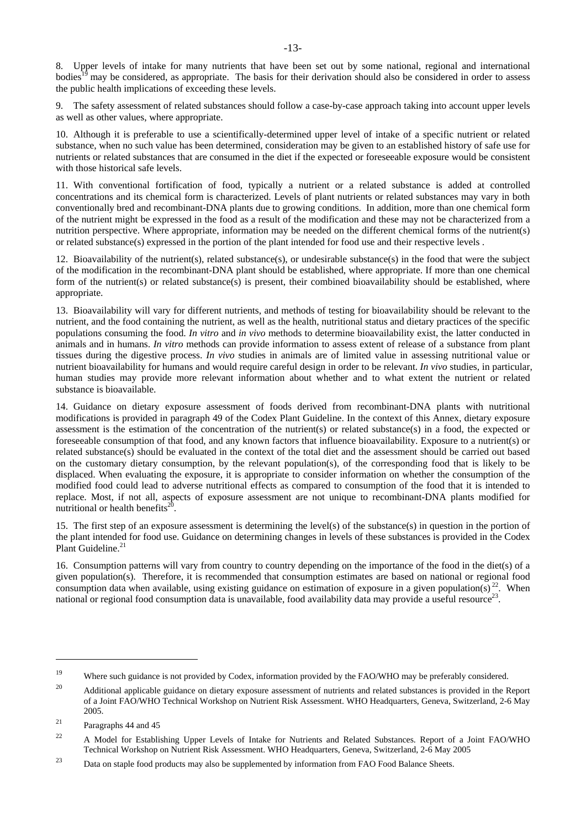8. Upper levels of intake for many nutrients that have been set out by some national, regional and international bodies<sup>19</sup> may be considered, as appropriate. The basis for their derivation should also be considered in order to assess the public health implications of exceeding these levels.

9. The safety assessment of related substances should follow a case-by-case approach taking into account upper levels as well as other values, where appropriate.

10. Although it is preferable to use a scientifically-determined upper level of intake of a specific nutrient or related substance, when no such value has been determined, consideration may be given to an established history of safe use for nutrients or related substances that are consumed in the diet if the expected or foreseeable exposure would be consistent with those historical safe levels.

11. With conventional fortification of food, typically a nutrient or a related substance is added at controlled concentrations and its chemical form is characterized. Levels of plant nutrients or related substances may vary in both conventionally bred and recombinant-DNA plants due to growing conditions. In addition, more than one chemical form of the nutrient might be expressed in the food as a result of the modification and these may not be characterized from a nutrition perspective. Where appropriate, information may be needed on the different chemical forms of the nutrient(s) or related substance(s) expressed in the portion of the plant intended for food use and their respective levels .

12. Bioavailability of the nutrient(s), related substance(s), or undesirable substance(s) in the food that were the subject of the modification in the recombinant-DNA plant should be established, where appropriate. If more than one chemical form of the nutrient(s) or related substance(s) is present, their combined bioavailability should be established, where appropriate.

13. Bioavailability will vary for different nutrients, and methods of testing for bioavailability should be relevant to the nutrient, and the food containing the nutrient, as well as the health, nutritional status and dietary practices of the specific populations consuming the food. *In vitro* and *in vivo* methods to determine bioavailability exist, the latter conducted in animals and in humans. *In vitro* methods can provide information to assess extent of release of a substance from plant tissues during the digestive process. *In vivo* studies in animals are of limited value in assessing nutritional value or nutrient bioavailability for humans and would require careful design in order to be relevant. *In vivo* studies, in particular, human studies may provide more relevant information about whether and to what extent the nutrient or related substance is bioavailable.

14. Guidance on dietary exposure assessment of foods derived from recombinant-DNA plants with nutritional modifications is provided in paragraph 49 of the Codex Plant Guideline. In the context of this Annex, dietary exposure assessment is the estimation of the concentration of the nutrient(s) or related substance(s) in a food, the expected or foreseeable consumption of that food, and any known factors that influence bioavailability. Exposure to a nutrient(s) or related substance(s) should be evaluated in the context of the total diet and the assessment should be carried out based on the customary dietary consumption, by the relevant population(s), of the corresponding food that is likely to be displaced. When evaluating the exposure, it is appropriate to consider information on whether the consumption of the modified food could lead to adverse nutritional effects as compared to consumption of the food that it is intended to replace. Most, if not all, aspects of exposure assessment are not unique to recombinant-DNA plants modified for nutritional or health benefits $^{20}$ .

15. The first step of an exposure assessment is determining the level(s) of the substance(s) in question in the portion of the plant intended for food use. Guidance on determining changes in levels of these substances is provided in the Codex Plant Guideline.<sup>2</sup>

16. Consumption patterns will vary from country to country depending on the importance of the food in the diet(s) of a given population(s). Therefore, it is recommended that consumption estimates are based on national or regional food consumption data when available, using existing guidance on estimation of exposure in a given population(s)<sup>22</sup>. When national or regional food consumption data is unavailable, food availability data may provide a useful resource<sup>23</sup>.

l

<sup>&</sup>lt;sup>19</sup> Where such guidance is not provided by Codex, information provided by the FAO/WHO may be preferably considered.

 $^{20}$  Additional applicable guidance on dietary exposure assessment of nutrients and related substances is provided in the Report of a Joint FAO/WHO Technical Workshop on Nutrient Risk Assessment. WHO Headquarters, Geneva, Switzerland, 2-6 May 2005.

<sup>21</sup> Paragraphs 44 and 45

<sup>&</sup>lt;sup>22</sup> A Model for Establishing Upper Levels of Intake for Nutrients and Related Substances. Report of a Joint FAO/WHO Technical Workshop on Nutrient Risk Assessment. WHO Headquarters, Geneva, Switzerland, 2-6 May 2005

<sup>&</sup>lt;sup>23</sup> Data on staple food products may also be supplemented by information from FAO Food Balance Sheets.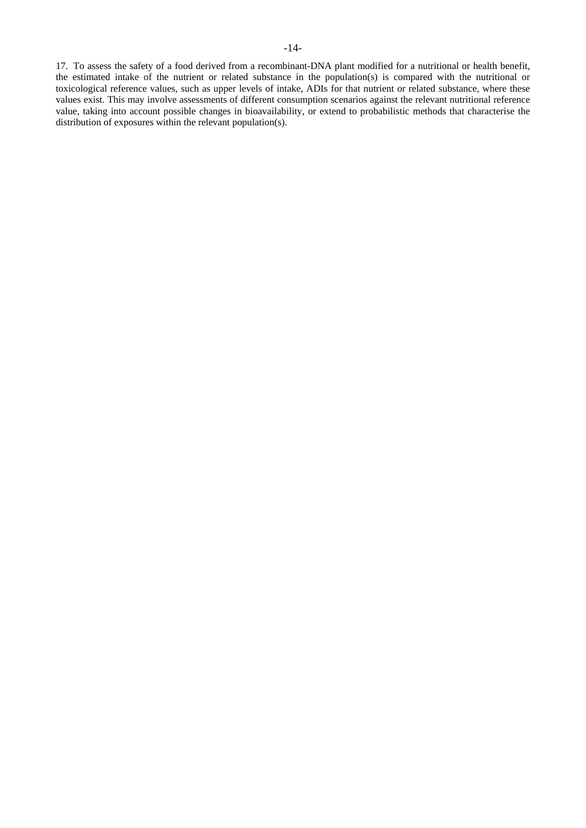17. To assess the safety of a food derived from a recombinant-DNA plant modified for a nutritional or health benefit, the estimated intake of the nutrient or related substance in the population(s) is compared with the nutritional or toxicological reference values, such as upper levels of intake, ADIs for that nutrient or related substance, where these values exist. This may involve assessments of different consumption scenarios against the relevant nutritional reference value, taking into account possible changes in bioavailability, or extend to probabilistic methods that characterise the distribution of exposures within the relevant population(s).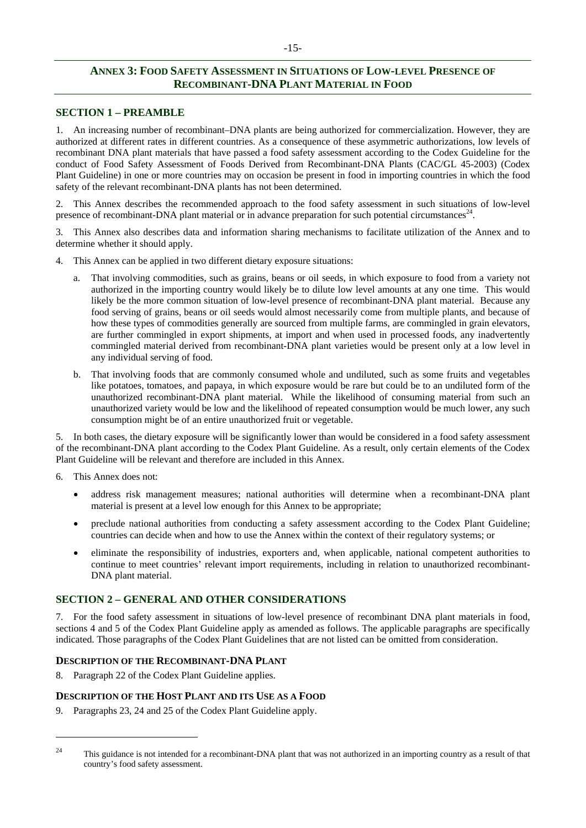# **ANNEX 3: FOOD SAFETY ASSESSMENT IN SITUATIONS OF LOW-LEVEL PRESENCE OF RECOMBINANT-DNA PLANT MATERIAL IN FOOD**

# **SECTION 1 – PREAMBLE**

1. An increasing number of recombinant–DNA plants are being authorized for commercialization. However, they are authorized at different rates in different countries. As a consequence of these asymmetric authorizations, low levels of recombinant DNA plant materials that have passed a food safety assessment according to the Codex Guideline for the conduct of Food Safety Assessment of Foods Derived from Recombinant-DNA Plants (CAC/GL 45-2003) (Codex Plant Guideline) in one or more countries may on occasion be present in food in importing countries in which the food safety of the relevant recombinant-DNA plants has not been determined.

2. This Annex describes the recommended approach to the food safety assessment in such situations of low-level presence of recombinant-DNA plant material or in advance preparation for such potential circumstances<sup>24</sup>.

3. This Annex also describes data and information sharing mechanisms to facilitate utilization of the Annex and to determine whether it should apply.

- 4. This Annex can be applied in two different dietary exposure situations:
	- That involving commodities, such as grains, beans or oil seeds, in which exposure to food from a variety not authorized in the importing country would likely be to dilute low level amounts at any one time. This would likely be the more common situation of low-level presence of recombinant-DNA plant material. Because any food serving of grains, beans or oil seeds would almost necessarily come from multiple plants, and because of how these types of commodities generally are sourced from multiple farms, are commingled in grain elevators, are further commingled in export shipments, at import and when used in processed foods, any inadvertently commingled material derived from recombinant-DNA plant varieties would be present only at a low level in any individual serving of food.
	- b. That involving foods that are commonly consumed whole and undiluted, such as some fruits and vegetables like potatoes, tomatoes, and papaya, in which exposure would be rare but could be to an undiluted form of the unauthorized recombinant-DNA plant material. While the likelihood of consuming material from such an unauthorized variety would be low and the likelihood of repeated consumption would be much lower, any such consumption might be of an entire unauthorized fruit or vegetable.

5. In both cases, the dietary exposure will be significantly lower than would be considered in a food safety assessment of the recombinant-DNA plant according to the Codex Plant Guideline. As a result, only certain elements of the Codex Plant Guideline will be relevant and therefore are included in this Annex.

6. This Annex does not:

l

- address risk management measures; national authorities will determine when a recombinant-DNA plant material is present at a level low enough for this Annex to be appropriate;
- preclude national authorities from conducting a safety assessment according to the Codex Plant Guideline; countries can decide when and how to use the Annex within the context of their regulatory systems; or
- eliminate the responsibility of industries, exporters and, when applicable, national competent authorities to continue to meet countries' relevant import requirements, including in relation to unauthorized recombinant-DNA plant material.

# **SECTION 2 – GENERAL AND OTHER CONSIDERATIONS**

7. For the food safety assessment in situations of low-level presence of recombinant DNA plant materials in food, sections 4 and 5 of the Codex Plant Guideline apply as amended as follows. The applicable paragraphs are specifically indicated. Those paragraphs of the Codex Plant Guidelines that are not listed can be omitted from consideration.

# **DESCRIPTION OF THE RECOMBINANT-DNA PLANT**

8. Paragraph 22 of the Codex Plant Guideline applies.

# **DESCRIPTION OF THE HOST PLANT AND ITS USE AS A FOOD**

9. Paragraphs 23, 24 and 25 of the Codex Plant Guideline apply.

<sup>&</sup>lt;sup>24</sup> This guidance is not intended for a recombinant-DNA plant that was not authorized in an importing country as a result of that country's food safety assessment.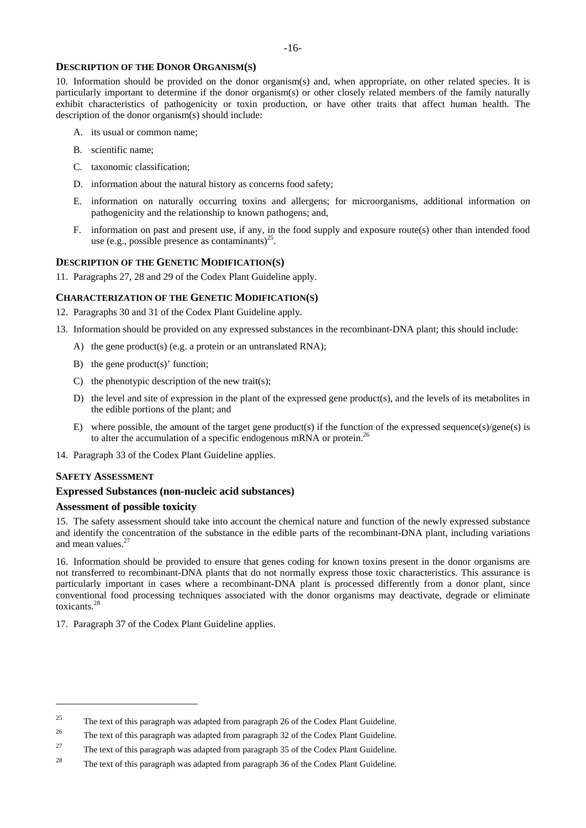# **DESCRIPTION OF THE DONOR ORGANISM(S)**

10. Information should be provided on the donor organism(s) and, when appropriate, on other related species. It is particularly important to determine if the donor organism(s) or other closely related members of the family naturally exhibit characteristics of pathogenicity or toxin production, or have other traits that affect human health. The description of the donor organism(s) should include:

- A. its usual or common name;
- B. scientific name;
- C. taxonomic classification;
- D. information about the natural history as concerns food safety;
- E. information on naturally occurring toxins and allergens; for microorganisms, additional information on pathogenicity and the relationship to known pathogens; and,
- F. information on past and present use, if any, in the food supply and exposure route(s) other than intended food use (e.g., possible presence as contaminants)<sup>25</sup>.

### **DESCRIPTION OF THE GENETIC MODIFICATION(S)**

11. Paragraphs 27, 28 and 29 of the Codex Plant Guideline apply.

## **CHARACTERIZATION OF THE GENETIC MODIFICATION(S)**

- 12. Paragraphs 30 and 31 of the Codex Plant Guideline apply.
- 13. Information should be provided on any expressed substances in the recombinant-DNA plant; this should include:
	- A) the gene product(s) (e.g. a protein or an untranslated RNA);
	- B) the gene product(s)' function;
	- C) the phenotypic description of the new trait(s);
	- D) the level and site of expression in the plant of the expressed gene product(s), and the levels of its metabolites in the edible portions of the plant; and
	- E) where possible, the amount of the target gene product(s) if the function of the expressed sequence(s)/gene(s) is to alter the accumulation of a specific endogenous mRNA or protein.<sup>26</sup>
- 14. Paragraph 33 of the Codex Plant Guideline applies.

#### **SAFETY ASSESSMENT**

 $\overline{a}$ 

# **Expressed Substances (non-nucleic acid substances)**

### **Assessment of possible toxicity**

15. The safety assessment should take into account the chemical nature and function of the newly expressed substance and identify the concentration of the substance in the edible parts of the recombinant-DNA plant, including variations and mean values.<sup>27</sup>

16. Information should be provided to ensure that genes coding for known toxins present in the donor organisms are not transferred to recombinant-DNA plants that do not normally express those toxic characteristics. This assurance is particularly important in cases where a recombinant-DNA plant is processed differently from a donor plant, since conventional food processing techniques associated with the donor organisms may deactivate, degrade or eliminate toxicants.<sup>28</sup>

17. Paragraph 37 of the Codex Plant Guideline applies.

<sup>&</sup>lt;sup>25</sup> The text of this paragraph was adapted from paragraph 26 of the Codex Plant Guideline.

<sup>&</sup>lt;sup>26</sup> The text of this paragraph was adapted from paragraph 32 of the Codex Plant Guideline.

<sup>&</sup>lt;sup>27</sup> The text of this paragraph was adapted from paragraph 35 of the Codex Plant Guideline.

<sup>&</sup>lt;sup>28</sup> The text of this paragraph was adapted from paragraph 36 of the Codex Plant Guideline.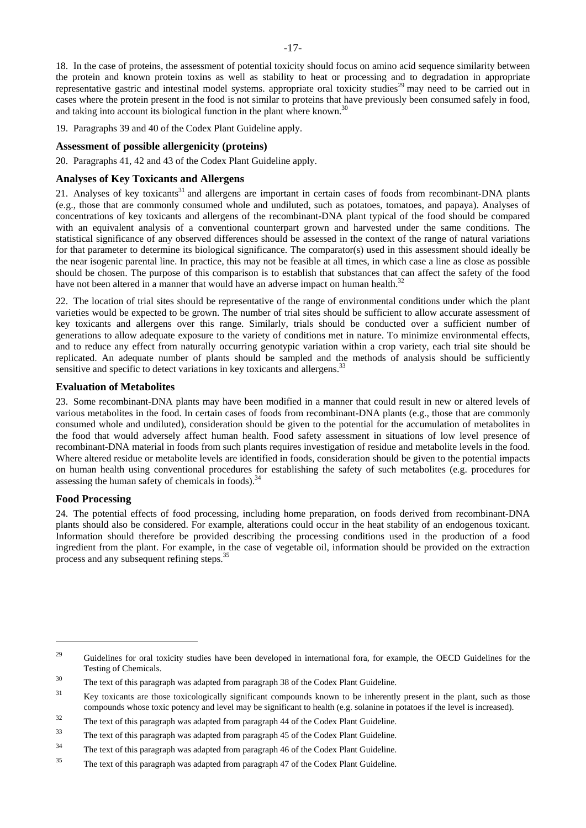18. In the case of proteins, the assessment of potential toxicity should focus on amino acid sequence similarity between the protein and known protein toxins as well as stability to heat or processing and to degradation in appropriate representative gastric and intestinal model systems. appropriate oral toxicity studies<sup>29</sup> may need to be carried out in cases where the protein present in the food is not similar to proteins that have previously been consumed safely in food, and taking into account its biological function in the plant where known. $30$ 

19. Paragraphs 39 and 40 of the Codex Plant Guideline apply.

## **Assessment of possible allergenicity (proteins)**

20. Paragraphs 41, 42 and 43 of the Codex Plant Guideline apply.

## **Analyses of Key Toxicants and Allergens**

21. Analyses of key toxicants<sup>31</sup> and allergens are important in certain cases of foods from recombinant-DNA plants (e.g., those that are commonly consumed whole and undiluted, such as potatoes, tomatoes, and papaya). Analyses of concentrations of key toxicants and allergens of the recombinant-DNA plant typical of the food should be compared with an equivalent analysis of a conventional counterpart grown and harvested under the same conditions. The statistical significance of any observed differences should be assessed in the context of the range of natural variations for that parameter to determine its biological significance. The comparator(s) used in this assessment should ideally be the near isogenic parental line. In practice, this may not be feasible at all times, in which case a line as close as possible should be chosen. The purpose of this comparison is to establish that substances that can affect the safety of the food have not been altered in a manner that would have an adverse impact on human health.<sup>32</sup>

22. The location of trial sites should be representative of the range of environmental conditions under which the plant varieties would be expected to be grown. The number of trial sites should be sufficient to allow accurate assessment of key toxicants and allergens over this range. Similarly, trials should be conducted over a sufficient number of generations to allow adequate exposure to the variety of conditions met in nature. To minimize environmental effects, and to reduce any effect from naturally occurring genotypic variation within a crop variety, each trial site should be replicated. An adequate number of plants should be sampled and the methods of analysis should be sufficiently sensitive and specific to detect variations in key toxicants and allergens.<sup>33</sup>

### **Evaluation of Metabolites**

23. Some recombinant-DNA plants may have been modified in a manner that could result in new or altered levels of various metabolites in the food. In certain cases of foods from recombinant-DNA plants (e.g., those that are commonly consumed whole and undiluted), consideration should be given to the potential for the accumulation of metabolites in the food that would adversely affect human health. Food safety assessment in situations of low level presence of recombinant-DNA material in foods from such plants requires investigation of residue and metabolite levels in the food. Where altered residue or metabolite levels are identified in foods, consideration should be given to the potential impacts on human health using conventional procedures for establishing the safety of such metabolites (e.g. procedures for assessing the human safety of chemicals in foods). $34$ 

# **Food Processing**

l

24. The potential effects of food processing, including home preparation, on foods derived from recombinant-DNA plants should also be considered. For example, alterations could occur in the heat stability of an endogenous toxicant. Information should therefore be provided describing the processing conditions used in the production of a food ingredient from the plant. For example, in the case of vegetable oil, information should be provided on the extraction process and any subsequent refining steps.<sup>35</sup>

<sup>&</sup>lt;sup>29</sup> Guidelines for oral toxicity studies have been developed in international fora, for example, the OECD Guidelines for the Testing of Chemicals.

<sup>&</sup>lt;sup>30</sup> The text of this paragraph was adapted from paragraph 38 of the Codex Plant Guideline.

<sup>&</sup>lt;sup>31</sup> Key toxicants are those toxicologically significant compounds known to be inherently present in the plant, such as those compounds whose toxic potency and level may be significant to health (e.g. solanine in potatoes if the level is increased).

<sup>&</sup>lt;sup>32</sup> The text of this paragraph was adapted from paragraph 44 of the Codex Plant Guideline.

<sup>33</sup> The text of this paragraph was adapted from paragraph 45 of the Codex Plant Guideline.

<sup>&</sup>lt;sup>34</sup> The text of this paragraph was adapted from paragraph 46 of the Codex Plant Guideline.

<sup>&</sup>lt;sup>35</sup> The text of this paragraph was adapted from paragraph 47 of the Codex Plant Guideline.